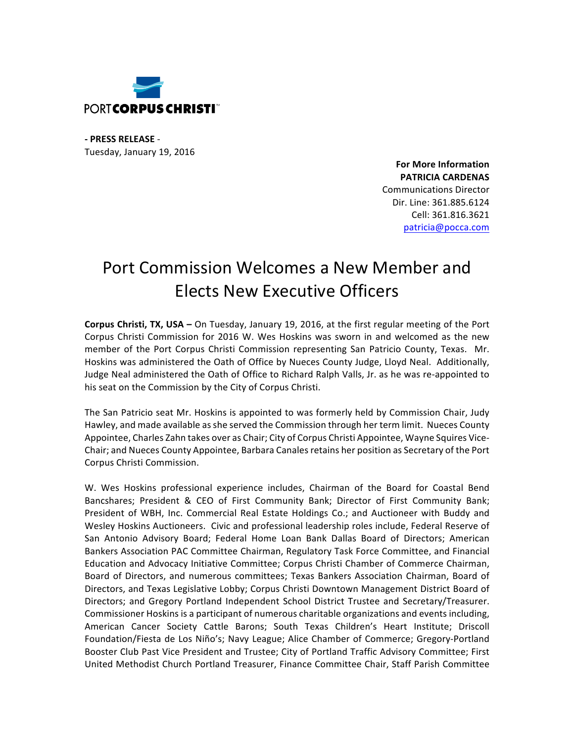

**- PRESS RELEASE** - Tuesday, January 19, 2016

> **For More Information PATRICIA CARDENAS** Communications Director Dir. Line: 361.885.6124 Cell: 361.816.3621 patricia@pocca.com

## Port Commission Welcomes a New Member and **Elects New Executive Officers**

**Corpus Christi, TX, USA** – On Tuesday, January 19, 2016, at the first regular meeting of the Port Corpus Christi Commission for 2016 W. Wes Hoskins was sworn in and welcomed as the new member of the Port Corpus Christi Commission representing San Patricio County, Texas. Mr. Hoskins was administered the Oath of Office by Nueces County Judge, Lloyd Neal. Additionally, Judge Neal administered the Oath of Office to Richard Ralph Valls, Jr. as he was re-appointed to his seat on the Commission by the City of Corpus Christi.

The San Patricio seat Mr. Hoskins is appointed to was formerly held by Commission Chair, Judy Hawley, and made available as she served the Commission through her term limit. Nueces County Appointee, Charles Zahn takes over as Chair; City of Corpus Christi Appointee, Wayne Squires Vice-Chair; and Nueces County Appointee, Barbara Canales retains her position as Secretary of the Port Corpus Christi Commission.

W. Wes Hoskins professional experience includes, Chairman of the Board for Coastal Bend Bancshares; President & CEO of First Community Bank; Director of First Community Bank; President of WBH, Inc. Commercial Real Estate Holdings Co.; and Auctioneer with Buddy and Wesley Hoskins Auctioneers. Civic and professional leadership roles include, Federal Reserve of San Antonio Advisory Board; Federal Home Loan Bank Dallas Board of Directors; American Bankers Association PAC Committee Chairman, Regulatory Task Force Committee, and Financial Education and Advocacy Initiative Committee; Corpus Christi Chamber of Commerce Chairman, Board of Directors, and numerous committees; Texas Bankers Association Chairman, Board of Directors, and Texas Legislative Lobby; Corpus Christi Downtown Management District Board of Directors; and Gregory Portland Independent School District Trustee and Secretary/Treasurer. Commissioner Hoskins is a participant of numerous charitable organizations and events including, American Cancer Society Cattle Barons; South Texas Children's Heart Institute; Driscoll Foundation/Fiesta de Los Niño's; Navy League; Alice Chamber of Commerce; Gregory-Portland Booster Club Past Vice President and Trustee; City of Portland Traffic Advisory Committee; First United Methodist Church Portland Treasurer, Finance Committee Chair, Staff Parish Committee